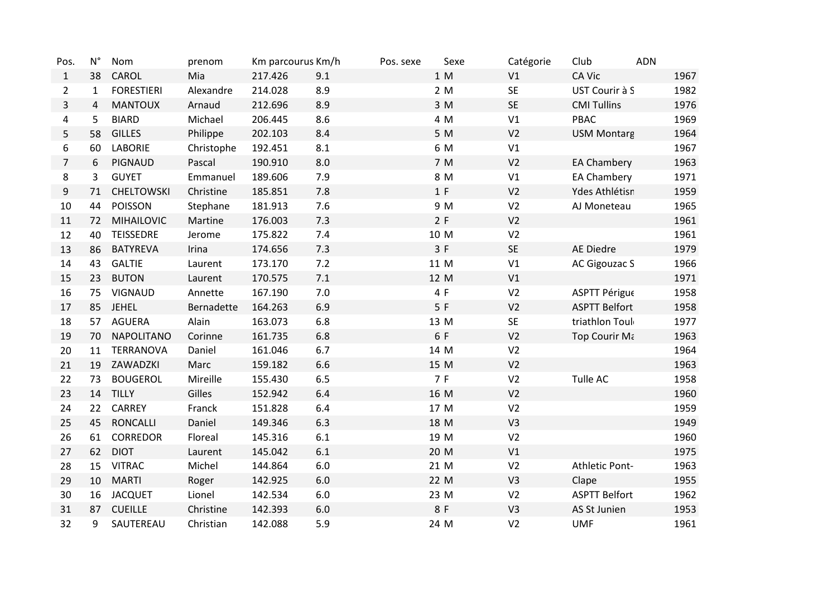| Pos.           | $N^{\circ}$    | Nom               | prenom     | Km parcourus Km/h |         | Pos. sexe | Sexe | Catégorie      | Club                 | <b>ADN</b> |      |
|----------------|----------------|-------------------|------------|-------------------|---------|-----------|------|----------------|----------------------|------------|------|
| $\mathbf{1}$   | 38             | CAROL             | Mia        | 217.426           | 9.1     |           | 1 M  | V1             | <b>CA Vic</b>        |            | 1967 |
| $\overline{2}$ | $\mathbf{1}$   | <b>FORESTIERI</b> | Alexandre  | 214.028           | 8.9     |           | 2 M  | <b>SE</b>      | UST Courir à S       |            | 1982 |
| $\overline{3}$ | $\overline{4}$ | <b>MANTOUX</b>    | Arnaud     | 212.696           | 8.9     |           | 3 M  | <b>SE</b>      | <b>CMI Tullins</b>   |            | 1976 |
| 4              | 5              | <b>BIARD</b>      | Michael    | 206.445           | 8.6     |           | 4 M  | V1             | PBAC                 |            | 1969 |
| 5              | 58             | <b>GILLES</b>     | Philippe   | 202.103           | 8.4     |           | 5 M  | V <sub>2</sub> | <b>USM Montarg</b>   |            | 1964 |
| 6              | 60             | <b>LABORIE</b>    | Christophe | 192.451           | 8.1     |           | 6 M  | V1             |                      |            | 1967 |
| $\overline{7}$ | 6              | PIGNAUD           | Pascal     | 190.910           | 8.0     |           | 7 M  | V <sub>2</sub> | <b>EA Chambery</b>   |            | 1963 |
| 8              | 3              | <b>GUYET</b>      | Emmanuel   | 189.606           | 7.9     |           | 8 M  | V1             | EA Chambery          |            | 1971 |
| 9              | 71             | <b>CHELTOWSKI</b> | Christine  | 185.851           | 7.8     |           | 1 F  | V <sub>2</sub> | Ydes Athlétisn       |            | 1959 |
| 10             | 44             | <b>POISSON</b>    | Stephane   | 181.913           | 7.6     |           | 9 M  | V <sub>2</sub> | AJ Moneteau          |            | 1965 |
| $11\,$         | 72             | <b>MIHAILOVIC</b> | Martine    | 176.003           | 7.3     |           | 2 F  | V <sub>2</sub> |                      |            | 1961 |
| 12             | 40             | <b>TEISSEDRE</b>  | Jerome     | 175.822           | 7.4     |           | 10 M | V <sub>2</sub> |                      |            | 1961 |
| 13             | 86             | <b>BATYREVA</b>   | Irina      | 174.656           | 7.3     |           | 3 F  | SE             | <b>AE Diedre</b>     |            | 1979 |
| 14             | 43             | <b>GALTIE</b>     | Laurent    | 173.170           | 7.2     |           | 11 M | V1             | <b>AC Gigouzac S</b> |            | 1966 |
| 15             | 23             | <b>BUTON</b>      | Laurent    | 170.575           | 7.1     |           | 12 M | V1             |                      |            | 1971 |
| 16             | 75             | <b>VIGNAUD</b>    | Annette    | 167.190           | 7.0     |           | 4 F  | V <sub>2</sub> | ASPTT Périgue        |            | 1958 |
| 17             | 85             | <b>JEHEL</b>      | Bernadette | 164.263           | 6.9     |           | 5F   | V <sub>2</sub> | <b>ASPTT Belfort</b> |            | 1958 |
| 18             | 57             | <b>AGUERA</b>     | Alain      | 163.073           | 6.8     |           | 13 M | <b>SE</b>      | triathlon Toul       |            | 1977 |
| 19             | 70             | <b>NAPOLITANO</b> | Corinne    | 161.735           | 6.8     |           | 6 F  | V <sub>2</sub> | <b>Top Courir Με</b> |            | 1963 |
| 20             | 11             | <b>TERRANOVA</b>  | Daniel     | 161.046           | 6.7     |           | 14 M | V <sub>2</sub> |                      |            | 1964 |
| 21             | 19             | ZAWADZKI          | Marc       | 159.182           | 6.6     |           | 15 M | V <sub>2</sub> |                      |            | 1963 |
| 22             | 73             | <b>BOUGEROL</b>   | Mireille   | 155.430           | 6.5     |           | 7 F  | V <sub>2</sub> | Tulle AC             |            | 1958 |
| 23             | 14             | <b>TILLY</b>      | Gilles     | 152.942           | 6.4     |           | 16 M | V <sub>2</sub> |                      |            | 1960 |
| 24             | 22             | CARREY            | Franck     | 151.828           | 6.4     |           | 17 M | V <sub>2</sub> |                      |            | 1959 |
| 25             | 45             | <b>RONCALLI</b>   | Daniel     | 149.346           | 6.3     |           | 18 M | V <sub>3</sub> |                      |            | 1949 |
| 26             | 61             | <b>CORREDOR</b>   | Floreal    | 145.316           | 6.1     |           | 19 M | V <sub>2</sub> |                      |            | 1960 |
| 27             | 62             | <b>DIOT</b>       | Laurent    | 145.042           | 6.1     |           | 20 M | V1             |                      |            | 1975 |
| 28             | 15             | <b>VITRAC</b>     | Michel     | 144.864           | 6.0     |           | 21 M | V <sub>2</sub> | Athletic Pont-       |            | 1963 |
| 29             | 10             | <b>MARTI</b>      | Roger      | 142.925           | $6.0\,$ |           | 22 M | V3             | Clape                |            | 1955 |
| 30             | 16             | <b>JACQUET</b>    | Lionel     | 142.534           | $6.0\,$ |           | 23 M | V <sub>2</sub> | <b>ASPTT Belfort</b> |            | 1962 |
| 31             | 87             | <b>CUEILLE</b>    | Christine  | 142.393           | $6.0\,$ |           | 8 F  | V <sub>3</sub> | AS St Junien         |            | 1953 |
| 32             | 9              | SAUTEREAU         | Christian  | 142.088           | 5.9     |           | 24 M | V <sub>2</sub> | <b>UMF</b>           |            | 1961 |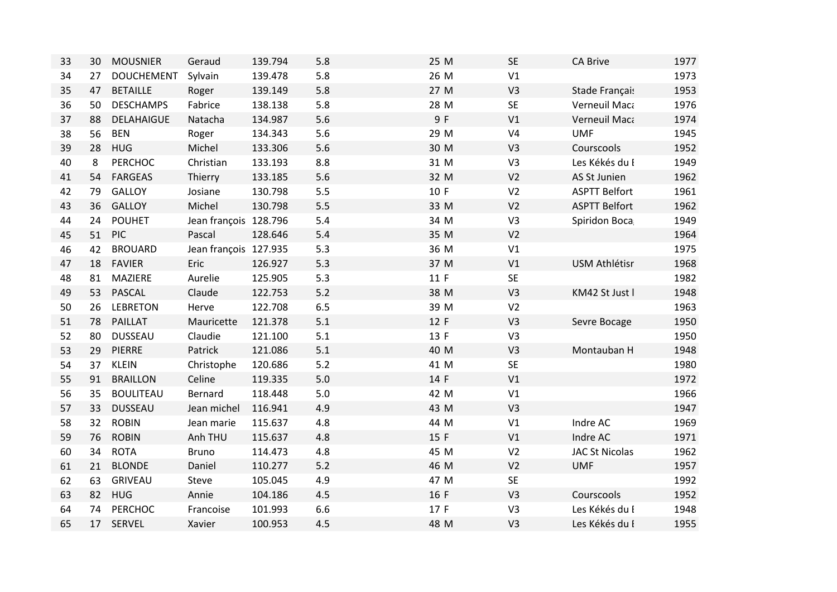| 33 | 30 | <b>MOUSNIER</b>   | Geraud                | 139.794 | 5.8   | 25 M | <b>SE</b>      | <b>CA Brive</b>       | 1977 |
|----|----|-------------------|-----------------------|---------|-------|------|----------------|-----------------------|------|
| 34 | 27 | <b>DOUCHEMENT</b> | Sylvain               | 139.478 | 5.8   | 26 M | V1             |                       | 1973 |
| 35 | 47 | <b>BETAILLE</b>   | Roger                 | 139.149 | 5.8   | 27 M | V <sub>3</sub> | Stade Français        | 1953 |
| 36 | 50 | <b>DESCHAMPS</b>  | Fabrice               | 138.138 | 5.8   | 28 M | <b>SE</b>      | Verneuil Maca         | 1976 |
| 37 | 88 | <b>DELAHAIGUE</b> | Natacha               | 134.987 | 5.6   | 9 F  | V1             | Verneuil Maca         | 1974 |
| 38 | 56 | <b>BEN</b>        | Roger                 | 134.343 | 5.6   | 29 M | V <sub>4</sub> | <b>UMF</b>            | 1945 |
| 39 | 28 | <b>HUG</b>        | Michel                | 133.306 | 5.6   | 30 M | V <sub>3</sub> | Courscools            | 1952 |
| 40 | 8  | <b>PERCHOC</b>    | Christian             | 133.193 | 8.8   | 31 M | V3             | Les Kékés du I        | 1949 |
| 41 | 54 | <b>FARGEAS</b>    | Thierry               | 133.185 | 5.6   | 32 M | V <sub>2</sub> | AS St Junien          | 1962 |
| 42 | 79 | <b>GALLOY</b>     | Josiane               | 130.798 | 5.5   | 10 F | V <sub>2</sub> | <b>ASPTT Belfort</b>  | 1961 |
| 43 | 36 | <b>GALLOY</b>     | Michel                | 130.798 | 5.5   | 33 M | V <sub>2</sub> | <b>ASPTT Belfort</b>  | 1962 |
| 44 | 24 | <b>POUHET</b>     | Jean françois 128.796 |         | 5.4   | 34 M | V3             | Spiridon Boca         | 1949 |
| 45 | 51 | <b>PIC</b>        | Pascal                | 128.646 | 5.4   | 35 M | V <sub>2</sub> |                       | 1964 |
| 46 | 42 | <b>BROUARD</b>    | Jean françois 127.935 |         | 5.3   | 36 M | V1             |                       | 1975 |
| 47 | 18 | <b>FAVIER</b>     | Eric                  | 126.927 | 5.3   | 37 M | V1             | <b>USM Athlétisr</b>  | 1968 |
| 48 | 81 | MAZIERE           | Aurelie               | 125.905 | 5.3   | 11 F | <b>SE</b>      |                       | 1982 |
| 49 | 53 | PASCAL            | Claude                | 122.753 | 5.2   | 38 M | V <sub>3</sub> | KM42 St Just I        | 1948 |
| 50 | 26 | <b>LEBRETON</b>   | Herve                 | 122.708 | 6.5   | 39 M | V <sub>2</sub> |                       | 1963 |
| 51 | 78 | <b>PAILLAT</b>    | Mauricette            | 121.378 | 5.1   | 12 F | V <sub>3</sub> | Sevre Bocage          | 1950 |
| 52 | 80 | <b>DUSSEAU</b>    | Claudie               | 121.100 | 5.1   | 13 F | V3             |                       | 1950 |
| 53 | 29 | PIERRE            | Patrick               | 121.086 | 5.1   | 40 M | V <sub>3</sub> | Montauban H           | 1948 |
| 54 | 37 | <b>KLEIN</b>      | Christophe            | 120.686 | $5.2$ | 41 M | <b>SE</b>      |                       | 1980 |
| 55 | 91 | <b>BRAILLON</b>   | Celine                | 119.335 | 5.0   | 14 F | V1             |                       | 1972 |
| 56 | 35 | <b>BOULITEAU</b>  | Bernard               | 118.448 | 5.0   | 42 M | V1             |                       | 1966 |
| 57 | 33 | <b>DUSSEAU</b>    | Jean michel           | 116.941 | 4.9   | 43 M | V <sub>3</sub> |                       | 1947 |
| 58 | 32 | <b>ROBIN</b>      | Jean marie            | 115.637 | 4.8   | 44 M | V1             | Indre AC              | 1969 |
| 59 | 76 | <b>ROBIN</b>      | Anh THU               | 115.637 | 4.8   | 15 F | V1             | Indre AC              | 1971 |
| 60 | 34 | <b>ROTA</b>       | <b>Bruno</b>          | 114.473 | 4.8   | 45 M | V <sub>2</sub> | <b>JAC St Nicolas</b> | 1962 |
| 61 | 21 | <b>BLONDE</b>     | Daniel                | 110.277 | 5.2   | 46 M | V <sub>2</sub> | <b>UMF</b>            | 1957 |
| 62 | 63 | <b>GRIVEAU</b>    | Steve                 | 105.045 | 4.9   | 47 M | <b>SE</b>      |                       | 1992 |
| 63 | 82 | HUG               | Annie                 | 104.186 | 4.5   | 16 F | V <sub>3</sub> | Courscools            | 1952 |
| 64 | 74 | PERCHOC           | Francoise             | 101.993 | 6.6   | 17 F | V <sub>3</sub> | Les Kékés du I        | 1948 |
| 65 | 17 | SERVEL            | Xavier                | 100.953 | 4.5   | 48 M | V <sub>3</sub> | Les Kékés du I        | 1955 |